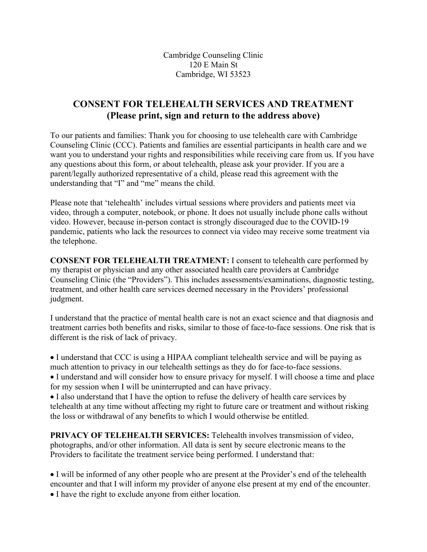Cambridge Counseling Clinic 120 E Main St Cambridge, WI 53523

## **CONSENT FOR TELEHEALTH SERVICES AND TREATMENT (Please print, sign and return to the address above)**

To our patients and families: Thank you for choosing to use telehealth care with Cambridge Counseling Clinic (CCC). Patients and families are essential participants in health care and we want you to understand your rights and responsibilities while receiving care from us. If you have any questions about this form, or about telehealth, please ask your provider. If you are a parent/legally authorized representative of a child, please read this agreement with the understanding that "I" and "me" means the child.

Please note that 'telehealth' includes virtual sessions where providers and patients meet via video, through a computer, notebook, or phone. It does not usually include phone calls without video. However, because in-person contact is strongly discouraged due to the COVID-19 pandemic, patients who lack the resources to connect via video may receive some treatment via the telephone.

**CONSENT FOR TELEHEALTH TREATMENT:** I consent to telehealth care performed by my therapist or physician and any other associated health care providers at Cambridge Counseling Clinic (the "Providers"). This includes assessments/examinations, diagnostic testing, treatment, and other health care services deemed necessary in the Providers' professional judgment.

I understand that the practice of mental health care is not an exact science and that diagnosis and treatment carries both benefits and risks, similar to those of face-to-face sessions. One risk that is different is the risk of lack of privacy.

• I understand that CCC is using a HIPAA compliant telehealth service and will be paying as much attention to privacy in our telehealth settings as they do for face-to-face sessions. • I understand and will consider how to ensure privacy for myself. I will choose a time and place for my session when I will be uninterrupted and can have privacy.

• I also understand that I have the option to refuse the delivery of health care services by telehealth at any time without affecting my right to future care or treatment and without risking the loss or withdrawal of any benefits to which I would otherwise be entitled.

**PRIVACY OF TELEHEALTH SERVICES:** Telehealth involves transmission of video, photographs, and/or other information. All data is sent by secure electronic means to the Providers to facilitate the treatment service being performed. I understand that:

• I will be informed of any other people who are present at the Provider's end of the telehealth encounter and that I will inform my provider of anyone else present at my end of the encounter. • I have the right to exclude anyone from either location.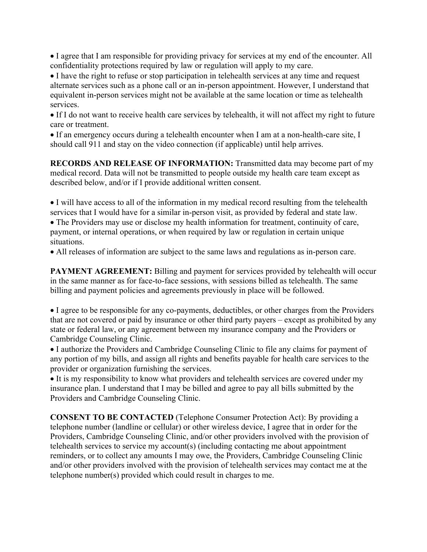• I agree that I am responsible for providing privacy for services at my end of the encounter. All confidentiality protections required by law or regulation will apply to my care.

• I have the right to refuse or stop participation in telehealth services at any time and request alternate services such as a phone call or an in-person appointment. However, I understand that equivalent in-person services might not be available at the same location or time as telehealth services.

• If I do not want to receive health care services by telehealth, it will not affect my right to future care or treatment.

• If an emergency occurs during a telehealth encounter when I am at a non-health-care site, I should call 911 and stay on the video connection (if applicable) until help arrives.

**RECORDS AND RELEASE OF INFORMATION:** Transmitted data may become part of my medical record. Data will not be transmitted to people outside my health care team except as described below, and/or if I provide additional written consent.

• I will have access to all of the information in my medical record resulting from the telehealth services that I would have for a similar in-person visit, as provided by federal and state law.

• The Providers may use or disclose my health information for treatment, continuity of care, payment, or internal operations, or when required by law or regulation in certain unique situations.

• All releases of information are subject to the same laws and regulations as in-person care.

**PAYMENT AGREEMENT:** Billing and payment for services provided by telehealth will occur in the same manner as for face-to-face sessions, with sessions billed as telehealth. The same billing and payment policies and agreements previously in place will be followed.

• I agree to be responsible for any co-payments, deductibles, or other charges from the Providers that are not covered or paid by insurance or other third party payers – except as prohibited by any state or federal law, or any agreement between my insurance company and the Providers or Cambridge Counseling Clinic.

• I authorize the Providers and Cambridge Counseling Clinic to file any claims for payment of any portion of my bills, and assign all rights and benefits payable for health care services to the provider or organization furnishing the services.

• It is my responsibility to know what providers and telehealth services are covered under my insurance plan. I understand that I may be billed and agree to pay all bills submitted by the Providers and Cambridge Counseling Clinic.

**CONSENT TO BE CONTACTED** (Telephone Consumer Protection Act): By providing a telephone number (landline or cellular) or other wireless device, I agree that in order for the Providers, Cambridge Counseling Clinic, and/or other providers involved with the provision of telehealth services to service my account(s) (including contacting me about appointment reminders, or to collect any amounts I may owe, the Providers, Cambridge Counseling Clinic and/or other providers involved with the provision of telehealth services may contact me at the telephone number(s) provided which could result in charges to me.